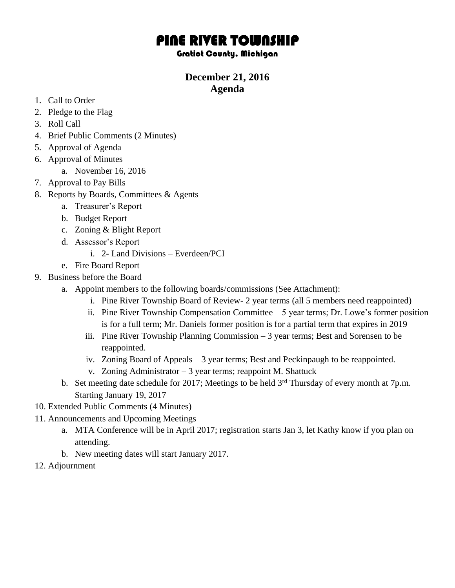## PINE RIVER TOWNSHIP

Gratiot County, Michigan

## **December 21, 2016 Agenda**

- 1. Call to Order
- 2. Pledge to the Flag
- 3. Roll Call
- 4. Brief Public Comments (2 Minutes)
- 5. Approval of Agenda
- 6. Approval of Minutes
	- a. November 16, 2016
- 7. Approval to Pay Bills
- 8. Reports by Boards, Committees & Agents
	- a. Treasurer's Report
	- b. Budget Report
	- c. Zoning & Blight Report
	- d. Assessor's Report
		- i. 2- Land Divisions Everdeen/PCI
	- e. Fire Board Report
- 9. Business before the Board
	- a. Appoint members to the following boards/commissions (See Attachment):
		- i. Pine River Township Board of Review- 2 year terms (all 5 members need reappointed)
		- ii. Pine River Township Compensation Committee 5 year terms; Dr. Lowe's former position is for a full term; Mr. Daniels former position is for a partial term that expires in 2019
		- iii. Pine River Township Planning Commission 3 year terms; Best and Sorensen to be reappointed.
		- iv. Zoning Board of Appeals 3 year terms; Best and Peckinpaugh to be reappointed.
		- v. Zoning Administrator  $-3$  year terms; reappoint M. Shattuck
	- b. Set meeting date schedule for 2017; Meetings to be held 3<sup>rd</sup> Thursday of every month at 7p.m. Starting January 19, 2017
- 10. Extended Public Comments (4 Minutes)
- 11. Announcements and Upcoming Meetings
	- a. MTA Conference will be in April 2017; registration starts Jan 3, let Kathy know if you plan on attending.
	- b. New meeting dates will start January 2017.
- 12. Adjournment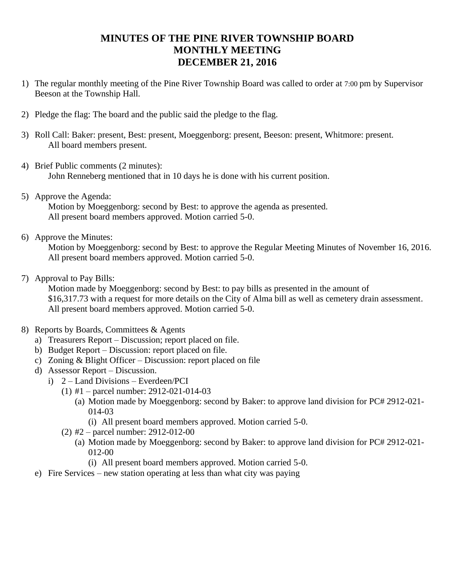## **MINUTES OF THE PINE RIVER TOWNSHIP BOARD MONTHLY MEETING DECEMBER 21, 2016**

- 1) The regular monthly meeting of the Pine River Township Board was called to order at 7:00 pm by Supervisor Beeson at the Township Hall.
- 2) Pledge the flag: The board and the public said the pledge to the flag.
- 3) Roll Call: Baker: present, Best: present, Moeggenborg: present, Beeson: present, Whitmore: present. All board members present.
- 4) Brief Public comments (2 minutes): John Renneberg mentioned that in 10 days he is done with his current position.
- 5) Approve the Agenda: Motion by Moeggenborg: second by Best: to approve the agenda as presented. All present board members approved. Motion carried 5-0.
- 6) Approve the Minutes:

Motion by Moeggenborg: second by Best: to approve the Regular Meeting Minutes of November 16, 2016. All present board members approved. Motion carried 5-0.

7) Approval to Pay Bills:

Motion made by Moeggenborg: second by Best: to pay bills as presented in the amount of \$16,317.73 with a request for more details on the City of Alma bill as well as cemetery drain assessment. All present board members approved. Motion carried 5-0.

- 8) Reports by Boards, Committees & Agents
	- a) Treasurers Report Discussion; report placed on file.
	- b) Budget Report Discussion: report placed on file.
	- c) Zoning & Blight Officer Discussion: report placed on file
	- d) Assessor Report Discussion.
		- i) 2 Land Divisions Everdeen/PCI
			- (1) #1 parcel number: 2912-021-014-03
				- (a) Motion made by Moeggenborg: second by Baker: to approve land division for PC# 2912-021- 014-03
					- (i) All present board members approved. Motion carried 5-0.
			- (2) #2 parcel number: 2912-012-00
				- (a) Motion made by Moeggenborg: second by Baker: to approve land division for PC# 2912-021- 012-00
					- (i) All present board members approved. Motion carried 5-0.
	- e) Fire Services new station operating at less than what city was paying